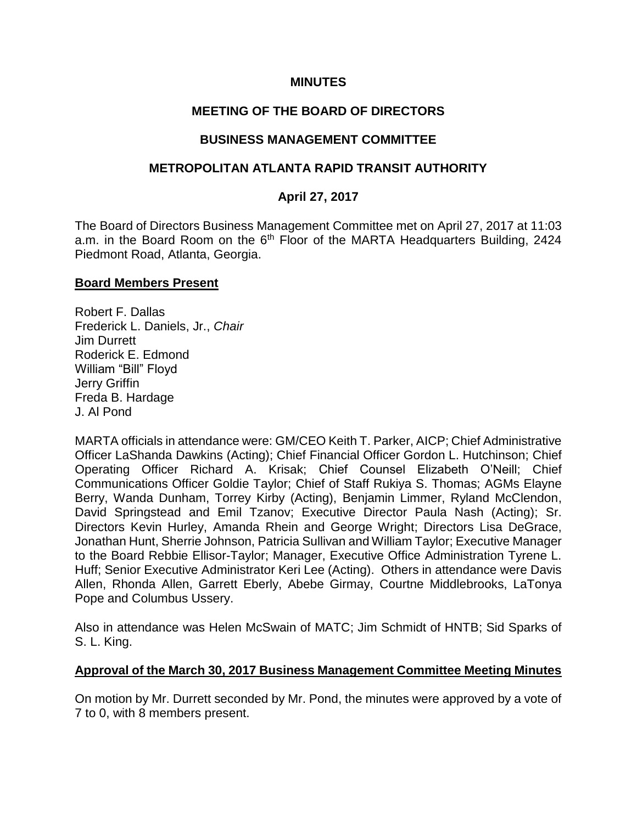### **MINUTES**

### **MEETING OF THE BOARD OF DIRECTORS**

#### **BUSINESS MANAGEMENT COMMITTEE**

#### **METROPOLITAN ATLANTA RAPID TRANSIT AUTHORITY**

### **April 27, 2017**

The Board of Directors Business Management Committee met on April 27, 2017 at 11:03 a.m. in the Board Room on the  $6<sup>th</sup>$  Floor of the MARTA Headquarters Building, 2424 Piedmont Road, Atlanta, Georgia.

#### **Board Members Present**

Robert F. Dallas Frederick L. Daniels, Jr., *Chair*  Jim Durrett Roderick E. Edmond William "Bill" Floyd Jerry Griffin Freda B. Hardage J. Al Pond

MARTA officials in attendance were: GM/CEO Keith T. Parker, AICP; Chief Administrative Officer LaShanda Dawkins (Acting); Chief Financial Officer Gordon L. Hutchinson; Chief Operating Officer Richard A. Krisak; Chief Counsel Elizabeth O'Neill; Chief Communications Officer Goldie Taylor; Chief of Staff Rukiya S. Thomas; AGMs Elayne Berry, Wanda Dunham, Torrey Kirby (Acting), Benjamin Limmer, Ryland McClendon, David Springstead and Emil Tzanov; Executive Director Paula Nash (Acting); Sr. Directors Kevin Hurley, Amanda Rhein and George Wright; Directors Lisa DeGrace, Jonathan Hunt, Sherrie Johnson, Patricia Sullivan and William Taylor; Executive Manager to the Board Rebbie Ellisor-Taylor; Manager, Executive Office Administration Tyrene L. Huff; Senior Executive Administrator Keri Lee (Acting). Others in attendance were Davis Allen, Rhonda Allen, Garrett Eberly, Abebe Girmay, Courtne Middlebrooks, LaTonya Pope and Columbus Ussery.

Also in attendance was Helen McSwain of MATC; Jim Schmidt of HNTB; Sid Sparks of S. L. King.

### **Approval of the March 30, 2017 Business Management Committee Meeting Minutes**

On motion by Mr. Durrett seconded by Mr. Pond, the minutes were approved by a vote of 7 to 0, with 8 members present.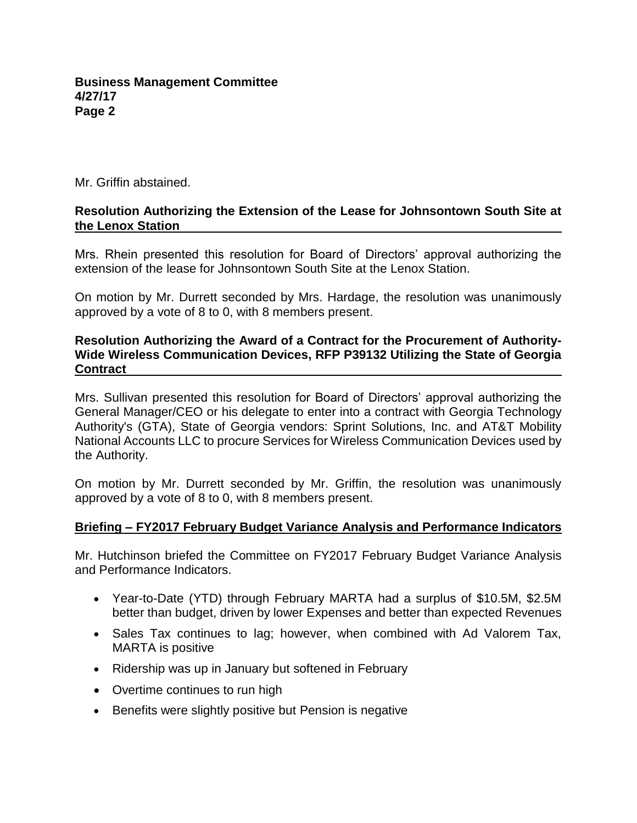Mr. Griffin abstained.

#### **Resolution Authorizing the Extension of the Lease for Johnsontown South Site at the Lenox Station**

Mrs. Rhein presented this resolution for Board of Directors' approval authorizing the extension of the lease for Johnsontown South Site at the Lenox Station.

On motion by Mr. Durrett seconded by Mrs. Hardage, the resolution was unanimously approved by a vote of 8 to 0, with 8 members present.

#### **Resolution Authorizing the Award of a Contract for the Procurement of Authority-Wide Wireless Communication Devices, RFP P39132 Utilizing the State of Georgia Contract**

Mrs. Sullivan presented this resolution for Board of Directors' approval authorizing the General Manager/CEO or his delegate to enter into a contract with Georgia Technology Authority's (GTA), State of Georgia vendors: Sprint Solutions, Inc. and AT&T Mobility National Accounts LLC to procure Services for Wireless Communication Devices used by the Authority.

On motion by Mr. Durrett seconded by Mr. Griffin, the resolution was unanimously approved by a vote of 8 to 0, with 8 members present.

### **Briefing – FY2017 February Budget Variance Analysis and Performance Indicators**

Mr. Hutchinson briefed the Committee on FY2017 February Budget Variance Analysis and Performance Indicators.

- Year-to-Date (YTD) through February MARTA had a surplus of \$10.5M, \$2.5M better than budget, driven by lower Expenses and better than expected Revenues
- Sales Tax continues to lag; however, when combined with Ad Valorem Tax, MARTA is positive
- Ridership was up in January but softened in February
- Overtime continues to run high
- Benefits were slightly positive but Pension is negative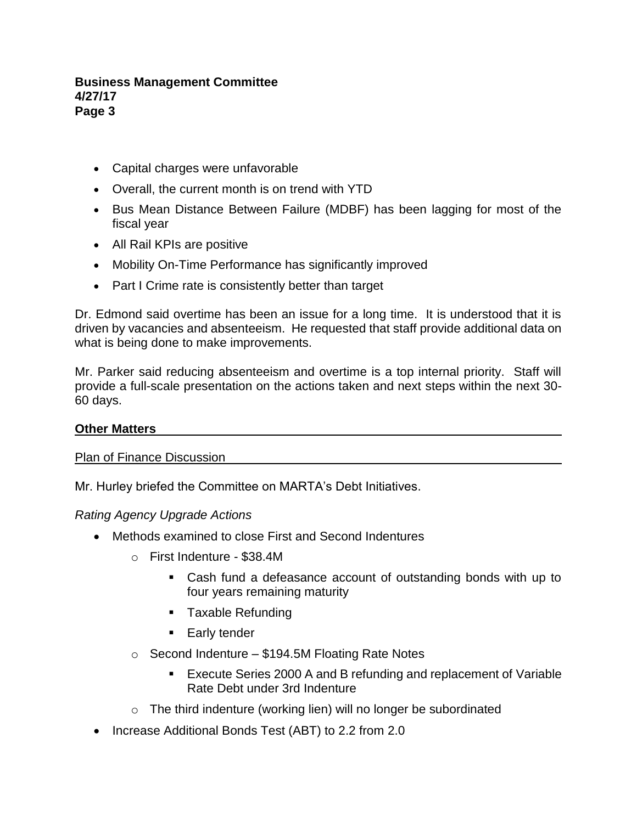#### **Business Management Committee 4/27/17 Page 3**

- Capital charges were unfavorable
- Overall, the current month is on trend with YTD
- Bus Mean Distance Between Failure (MDBF) has been lagging for most of the fiscal year
- All Rail KPIs are positive
- Mobility On-Time Performance has significantly improved
- Part I Crime rate is consistently better than target

Dr. Edmond said overtime has been an issue for a long time. It is understood that it is driven by vacancies and absenteeism. He requested that staff provide additional data on what is being done to make improvements.

Mr. Parker said reducing absenteeism and overtime is a top internal priority. Staff will provide a full-scale presentation on the actions taken and next steps within the next 30- 60 days.

### **Other Matters**

Plan of Finance Discussion

Mr. Hurley briefed the Committee on MARTA's Debt Initiatives.

*Rating Agency Upgrade Actions*

- Methods examined to close First and Second Indentures
	- o First Indenture \$38.4M
		- Cash fund a defeasance account of outstanding bonds with up to four years remaining maturity
		- Taxable Refunding
		- Early tender
	- $\circ$  Second Indenture \$194.5M Floating Rate Notes
		- Execute Series 2000 A and B refunding and replacement of Variable Rate Debt under 3rd Indenture
	- $\circ$  The third indenture (working lien) will no longer be subordinated
- Increase Additional Bonds Test (ABT) to 2.2 from 2.0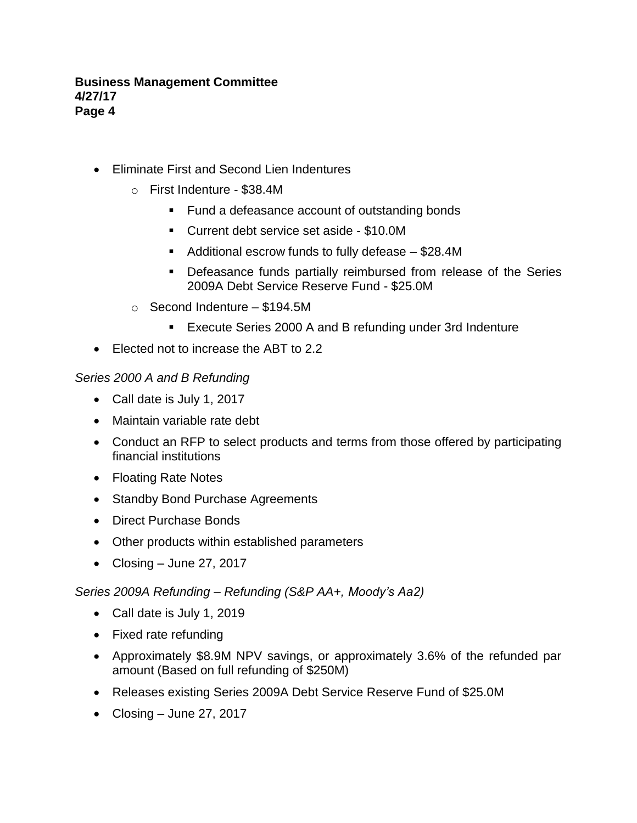#### **Business Management Committee 4/27/17 Page 4**

- Eliminate First and Second Lien Indentures
	- o First Indenture \$38.4M
		- Fund a defeasance account of outstanding bonds
		- Current debt service set aside \$10.0M
		- Additional escrow funds to fully defease \$28.4M
		- Defeasance funds partially reimbursed from release of the Series 2009A Debt Service Reserve Fund - \$25.0M
	- o Second Indenture \$194.5M
		- Execute Series 2000 A and B refunding under 3rd Indenture
- Elected not to increase the ABT to 2.2

## *Series 2000 A and B Refunding*

- Call date is July 1, 2017
- Maintain variable rate debt
- Conduct an RFP to select products and terms from those offered by participating financial institutions
- Floating Rate Notes
- Standby Bond Purchase Agreements
- Direct Purchase Bonds
- Other products within established parameters
- Closing June 27, 2017

# *Series 2009A Refunding* – *Refunding (S&P AA+, Moody's Aa2)*

- Call date is July 1, 2019
- Fixed rate refunding
- Approximately \$8.9M NPV savings, or approximately 3.6% of the refunded par amount (Based on full refunding of \$250M)
- Releases existing Series 2009A Debt Service Reserve Fund of \$25.0M
- Closing June 27, 2017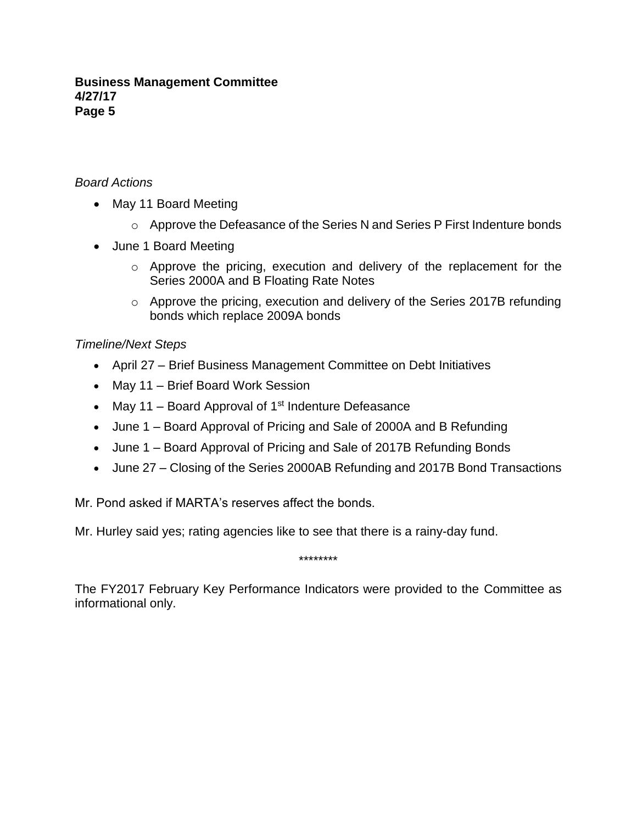#### **Business Management Committee 4/27/17 Page 5**

## *Board Actions*

- May 11 Board Meeting
	- o Approve the Defeasance of the Series N and Series P First Indenture bonds
- June 1 Board Meeting
	- o Approve the pricing, execution and delivery of the replacement for the Series 2000A and B Floating Rate Notes
	- o Approve the pricing, execution and delivery of the Series 2017B refunding bonds which replace 2009A bonds

## *Timeline/Next Steps*

- April 27 Brief Business Management Committee on Debt Initiatives
- May 11 Brief Board Work Session
- May 11 Board Approval of  $1<sup>st</sup>$  Indenture Defeasance
- June 1 Board Approval of Pricing and Sale of 2000A and B Refunding
- June 1 Board Approval of Pricing and Sale of 2017B Refunding Bonds
- June 27 Closing of the Series 2000AB Refunding and 2017B Bond Transactions

Mr. Pond asked if MARTA's reserves affect the bonds.

Mr. Hurley said yes; rating agencies like to see that there is a rainy-day fund.

\*\*\*\*\*\*\*\*

The FY2017 February Key Performance Indicators were provided to the Committee as informational only.